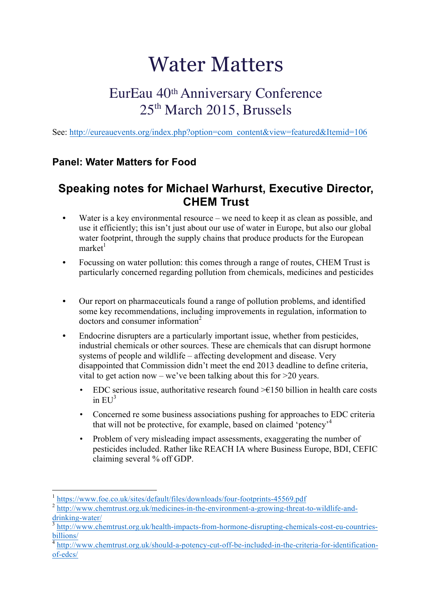## Water Matters

## EurEau 40th Anniversary Conference 25<sup>th</sup> March 2015, Brussels

See: http://eureauevents.org/index.php?option=com\_content&view=featured&Itemid=106

## **Panel: Water Matters for Food**

## **Speaking notes for Michael Warhurst, Executive Director, CHEM Trust**

- Water is a key environmental resource we need to keep it as clean as possible, and use it efficiently; this isn't just about our use of water in Europe, but also our global water footprint, through the supply chains that produce products for the European  $m$ arket $1$
- **•** Focussing on water pollution: this comes through a range of routes, CHEM Trust is particularly concerned regarding pollution from chemicals, medicines and pesticides
- **•** Our report on pharmaceuticals found a range of pollution problems, and identified some key recommendations, including improvements in regulation, information to doctors and consumer information<sup>2</sup>
- **•** Endocrine disrupters are a particularly important issue, whether from pesticides, industrial chemicals or other sources. These are chemicals that can disrupt hormone systems of people and wildlife – affecting development and disease. Very disappointed that Commission didn't meet the end 2013 deadline to define criteria, vital to get action now – we've been talking about this for  $>20$  years.
	- EDC serious issue, authoritative research found  $\geq 150$  billion in health care costs in  $EU^3$
	- Concerned re some business associations pushing for approaches to EDC criteria that will not be protective, for example, based on claimed 'potency'<sup>4</sup>
	- Problem of very misleading impact assessments, exaggerating the number of pesticides included. Rather like REACH IA where Business Europe, BDI, CEFIC claiming several % off GDP.

<sup>1</sup> https://www.foe.co.uk/sites/default/files/downloads/four-footprints-45569.pdf

http://www.chemtrust.org.uk/medicines-in-the-environment-a-growing-threat-to-wildlife-and- $\frac{drinking-water/}{3 \frac{htr}{htr}$ 

http://www.chemtrust.org.uk/health-impacts-from-hormone-disrupting-chemicals-cost-eu-countriesbillions/

http://www.chemtrust.org.uk/should-a-potency-cut-off-be-included-in-the-criteria-for-identificationof-edcs/